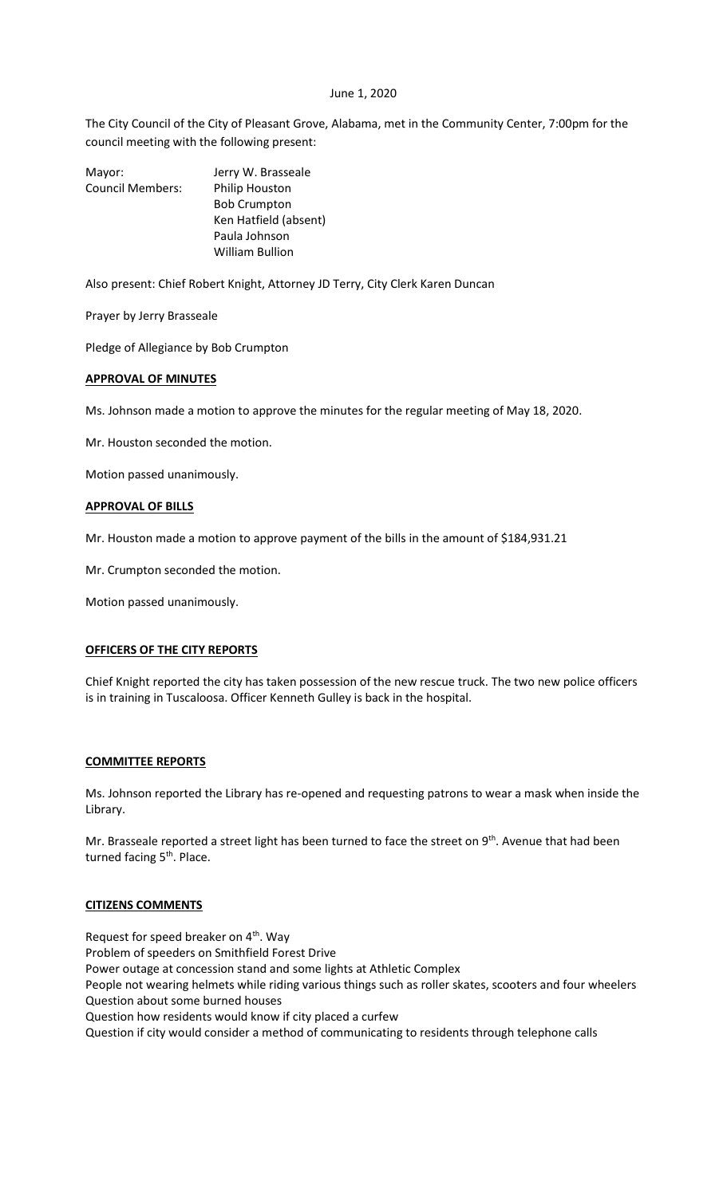#### June 1, 2020

The City Council of the City of Pleasant Grove, Alabama, met in the Community Center, 7:00pm for the council meeting with the following present:

Mayor: Jerry W. Brasseale Council Members: Philip Houston Bob Crumpton Ken Hatfield (absent) Paula Johnson William Bullion

Also present: Chief Robert Knight, Attorney JD Terry, City Clerk Karen Duncan

Prayer by Jerry Brasseale

Pledge of Allegiance by Bob Crumpton

## **APPROVAL OF MINUTES**

Ms. Johnson made a motion to approve the minutes for the regular meeting of May 18, 2020.

Mr. Houston seconded the motion.

Motion passed unanimously.

## **APPROVAL OF BILLS**

Mr. Houston made a motion to approve payment of the bills in the amount of \$184,931.21

Mr. Crumpton seconded the motion.

Motion passed unanimously.

## **OFFICERS OF THE CITY REPORTS**

Chief Knight reported the city has taken possession of the new rescue truck. The two new police officers is in training in Tuscaloosa. Officer Kenneth Gulley is back in the hospital.

#### **COMMITTEE REPORTS**

Ms. Johnson reported the Library has re-opened and requesting patrons to wear a mask when inside the Library.

Mr. Brasseale reported a street light has been turned to face the street on 9<sup>th</sup>. Avenue that had been turned facing 5<sup>th</sup>. Place.

#### **CITIZENS COMMENTS**

Request for speed breaker on  $4<sup>th</sup>$ . Way Problem of speeders on Smithfield Forest Drive Power outage at concession stand and some lights at Athletic Complex People not wearing helmets while riding various things such as roller skates, scooters and four wheelers Question about some burned houses Question how residents would know if city placed a curfew Question if city would consider a method of communicating to residents through telephone calls